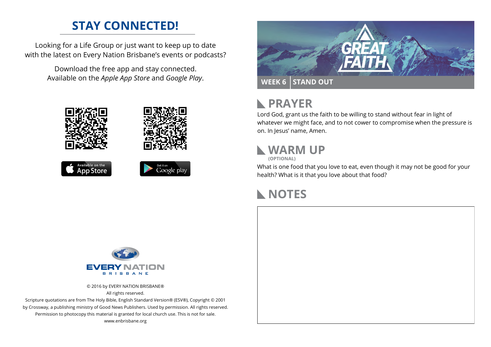#### **STAY CONNECTED!**

Looking for a Life Group or just want to keep up to date with the latest on Every Nation Brisbane's events or podcasts?

> Download the free app and stay connected. Available on the *Apple App Store* and *Google Play*.





```
Available on the<br>App Store
```




#### **PRAYER**  $\mathbb{R}$

Lord God, grant us the faith to be willing to stand without fear in light of whatever we might face, and to not cower to compromise when the pressure is on. In Jesus' name, Amen.

## **WARM UP**

**(OPTIONAL)**

What is one food that you love to eat, even though it may not be good for your health? What is it that you love about that food?

#### **NOTES**



© 2016 by EVERY NATION BRISBANE® All rights reserved.

Scripture quotations are from The Holy Bible, English Standard Version® (ESV®), Copyright © 2001 by Crossway, a publishing ministry of Good News Publishers. Used by permission. All rights reserved. Permission to photocopy this material is granted for local church use. This is not for sale. www.enbrisbane.org